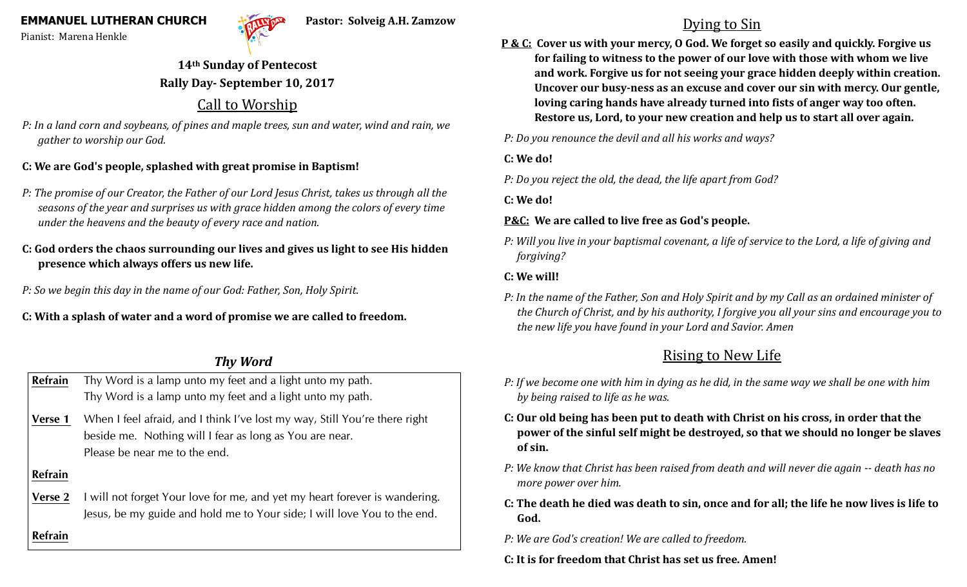Pianist: Marena Henkle



## **14th Sunday of Pentecost Rally Day- September 10, 2017**

# Call to Worship

*P: In a land corn and soybeans, of pines and maple trees, sun and water, wind and rain, we gather to worship our God.*

#### **C: We are God's people, splashed with great promise in Baptism!**

- *P: The promise of our Creator, the Father of our Lord Jesus Christ, takes us through all the seasons of the year and surprises us with grace hidden among the colors of every time under the heavens and the beauty of every race and nation.*
- **C: God orders the chaos surrounding our lives and gives us light to see His hidden presence which always offers us new life.**
- *P: So we begin this day in the name of our God: Father, Son, Holy Spirit.*

**C: With a splash of water and a word of promise we are called to freedom.**

### *Thy Word*

| <b>Refrain</b> | Thy Word is a lamp unto my feet and a light unto my path.<br>Thy Word is a lamp unto my feet and a light unto my path.                                                 |
|----------------|------------------------------------------------------------------------------------------------------------------------------------------------------------------------|
| Verse 1        | When I feel afraid, and I think I've lost my way, Still You're there right<br>beside me. Nothing will I fear as long as You are near.<br>Please be near me to the end. |
| <b>Refrain</b> |                                                                                                                                                                        |
| Verse 2        | I will not forget Your love for me, and yet my heart forever is wandering.<br>Jesus, be my guide and hold me to Your side; I will love You to the end.                 |
| <b>Refrain</b> |                                                                                                                                                                        |

# Dying to Sin

**P & C: Cover us with your mercy, O God. We forget so easily and quickly. Forgive us for failing to witness to the power of our love with those with whom we live and work. Forgive us for not seeing your grace hidden deeply within creation. Uncover our busy-ness as an excuse and cover our sin with mercy. Our gentle, loving caring hands have already turned into fists of anger way too often. Restore us, Lord, to your new creation and help us to start all over again.**

*P: Do you renounce the devil and all his works and ways?*

**C: We do!**

*P: Do you reject the old, the dead, the life apart from God?*

**C: We do!**

#### **P&C: We are called to live free as God's people.**

*P: Will you live in your baptismal covenant, a life of service to the Lord, a life of giving and forgiving?*

#### **C: We will!**

*P: In the name of the Father, Son and Holy Spirit and by my Call as an ordained minister of the Church of Christ, and by his authority, I forgive you all your sins and encourage you to the new life you have found in your Lord and Savior. Amen* 

# Rising to New Life

- *P: If we become one with him in dying as he did, in the same way we shall be one with him by being raised to life as he was.*
- **C: Our old being has been put to death with Christ on his cross, in order that the power of the sinful self might be destroyed, so that we should no longer be slaves of sin.**
- *P: We know that Christ has been raised from death and will never die again -- death has no more power over him.*
- **C: The death he died was death to sin, once and for all; the life he now lives is life to God.**
- *P: We are God's creation! We are called to freedom.*
- **C: It is for freedom that Christ has set us free. Amen!**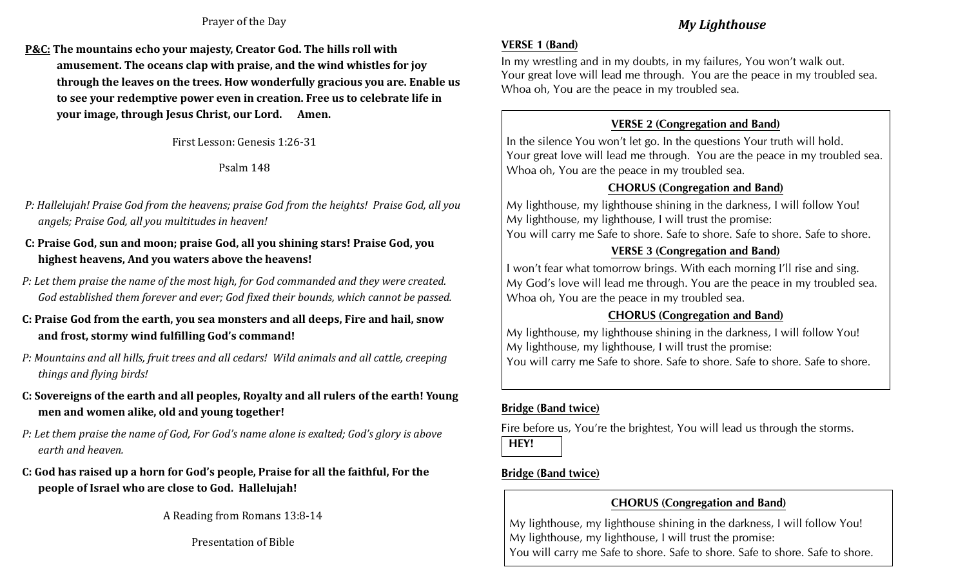#### Prayer of the Day

**P&C: The mountains echo your majesty, Creator God. The hills roll with amusement. The oceans clap with praise, and the wind whistles for joy through the leaves on the trees. How wonderfully gracious you are. Enable us to see your redemptive power even in creation. Free us to celebrate life in your image, through Jesus Christ, our Lord. Amen.**

First Lesson: Genesis 1:26-31

Psalm 148

- *P: Hallelujah! Praise God from the heavens; praise God from the heights! Praise God, all you angels; Praise God, all you multitudes in heaven!*
- **C: Praise God, sun and moon; praise God, all you shining stars! Praise God, you highest heavens, And you waters above the heavens!**
- *P: Let them praise the name of the most high, for God commanded and they were created. God established them forever and ever; God fixed their bounds, which cannot be passed.*
- **C: Praise God from the earth, you sea monsters and all deeps, Fire and hail, snow and frost, stormy wind fulfilling God's command!**
- *P: Mountains and all hills, fruit trees and all cedars! Wild animals and all cattle, creeping things and flying birds!*
- **C: Sovereigns of the earth and all peoples, Royalty and all rulers of the earth! Young men and women alike, old and young together!**
- *P: Let them praise the name of God, For God's name alone is exalted; God's glory is above earth and heaven.*
- **C: God has raised up a horn for God's people, Praise for all the faithful, For the people of Israel who are close to God. Hallelujah!**

A Reading from Romans 13:8-14

Presentation of Bible

### *My Lighthouse*

#### **VERSE 1 (Band)**

In my wrestling and in my doubts, in my failures, You won't walk out. Your great love will lead me through. You are the peace in my troubled sea. Whoa oh, You are the peace in my troubled sea.

### **VERSE 2 (Congregation and Band)**

In the silence You won't let go. In the questions Your truth will hold. Your great love will lead me through. You are the peace in my troubled sea. Whoa oh, You are the peace in my troubled sea.

#### **CHORUS (Congregation and Band)**

My lighthouse, my lighthouse shining in the darkness, I will follow You! My lighthouse, my lighthouse, I will trust the promise: You will carry me Safe to shore. Safe to shore. Safe to shore. Safe to shore.

### **VERSE 3 (Congregation and Band)**

I won't fear what tomorrow brings. With each morning I'll rise and sing. My God's love will lead me through. You are the peace in my troubled sea. Whoa oh, You are the peace in my troubled sea.

### **CHORUS (Congregation and Band)**

My lighthouse, my lighthouse shining in the darkness, I will follow You! My lighthouse, my lighthouse, I will trust the promise: You will carry me Safe to shore. Safe to shore. Safe to shore. Safe to shore.

#### **Bridge (Band twice)**

Fire before us, You're the brightest, You will lead us through the storms. **HEY!**

### **Bridge (Band twice)**

### **CHORUS (Congregation and Band)**

My lighthouse, my lighthouse shining in the darkness, I will follow You! My lighthouse, my lighthouse, I will trust the promise: You will carry me Safe to shore. Safe to shore. Safe to shore. Safe to shore.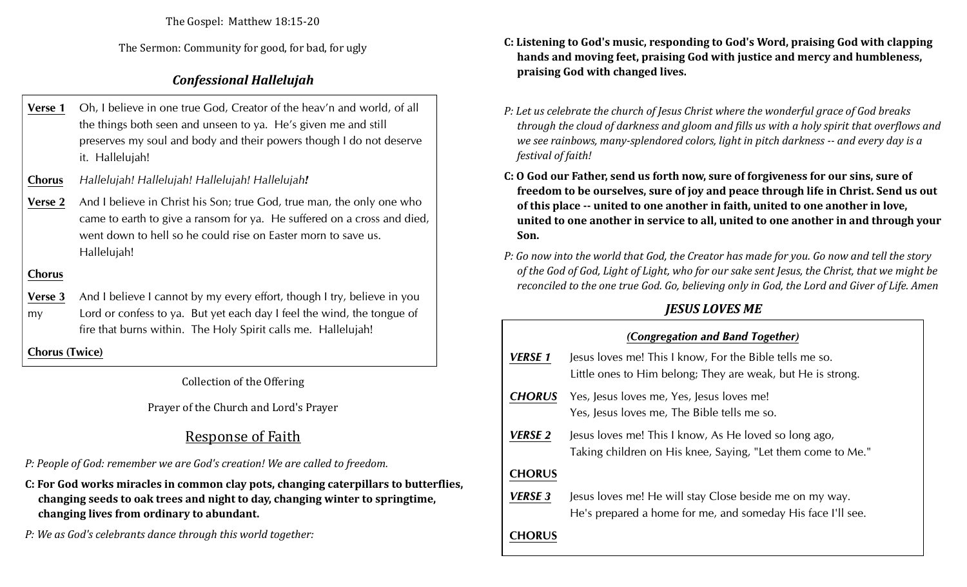The Gospel: Matthew 18:15-20

The Sermon: Community for good, for bad, for ugly

### *Confessional Hallelujah*

- **Verse 1** Oh, I believe in one true God, Creator of the heav'n and world, of all the things both seen and unseen to ya. He's given me and still preserves my soul and body and their powers though I do not deserve it. Hallelujah!
- **Chorus** *Hallelujah! Hallelujah! Hallelujah! Hallelujah!*
- **Verse 2** And I believe in Christ his Son; true God, true man, the only one who came to earth to give a ransom for ya. He suffered on a cross and died, went down to hell so he could rise on Easter morn to save us. Hallelujah!

#### **Chorus**

**Verse 3** And I believe I cannot by my every effort, though I try, believe in you my Lord or confess to ya. But yet each day I feel the wind, the tongue of fire that burns within. The Holy Spirit calls me. Hallelujah!

**Chorus (Twice)**

Collection of the Offering

Prayer of the Church and Lord's Prayer

# Response of Faith

*P: People of God: remember we are God's creation! We are called to freedom.*

**C: For God works miracles in common clay pots, changing caterpillars to butterflies, changing seeds to oak trees and night to day, changing winter to springtime, changing lives from ordinary to abundant.**

*P: We as God's celebrants dance through this world together:*

- **C: Listening to God's music, responding to God's Word, praising God with clapping hands and moving feet, praising God with justice and mercy and humbleness, praising God with changed lives.**
- *P: Let us celebrate the church of Jesus Christ where the wonderful grace of God breaks through the cloud of darkness and gloom and fills us with a holy spirit that overflows and we see rainbows, many-splendored colors, light in pitch darkness -- and every day is a festival of faith!*
- **C: O God our Father, send us forth now, sure of forgiveness for our sins, sure of freedom to be ourselves, sure of joy and peace through life in Christ. Send us out of this place -- united to one another in faith, united to one another in love, united to one another in service to all, united to one another in and through your Son.**
- *P: Go now into the world that God, the Creator has made for you. Go now and tell the story of the God of God, Light of Light, who for our sake sent Jesus, the Christ, that we might be reconciled to the one true God. Go, believing only in God, the Lord and Giver of Life. Amen*

# *JESUS LOVES ME*

| (Congregation and Band Together) |                                                                                                                        |  |  |  |
|----------------------------------|------------------------------------------------------------------------------------------------------------------------|--|--|--|
| VERSE 1                          | Jesus loves me! This I know, For the Bible tells me so.<br>Little ones to Him belong; They are weak, but He is strong. |  |  |  |
| <b>CHORUS</b>                    | Yes, Jesus loves me, Yes, Jesus loves me!<br>Yes, Jesus loves me, The Bible tells me so.                               |  |  |  |
| VERSE 2                          | Jesus loves me! This I know, As He loved so long ago,<br>Taking children on His knee, Saying, "Let them come to Me."   |  |  |  |
| <b>CHORUS</b>                    |                                                                                                                        |  |  |  |
| <b>VERSE 3</b>                   | Jesus loves me! He will stay Close beside me on my way.<br>He's prepared a home for me, and someday His face I'll see. |  |  |  |
| HORUS                            |                                                                                                                        |  |  |  |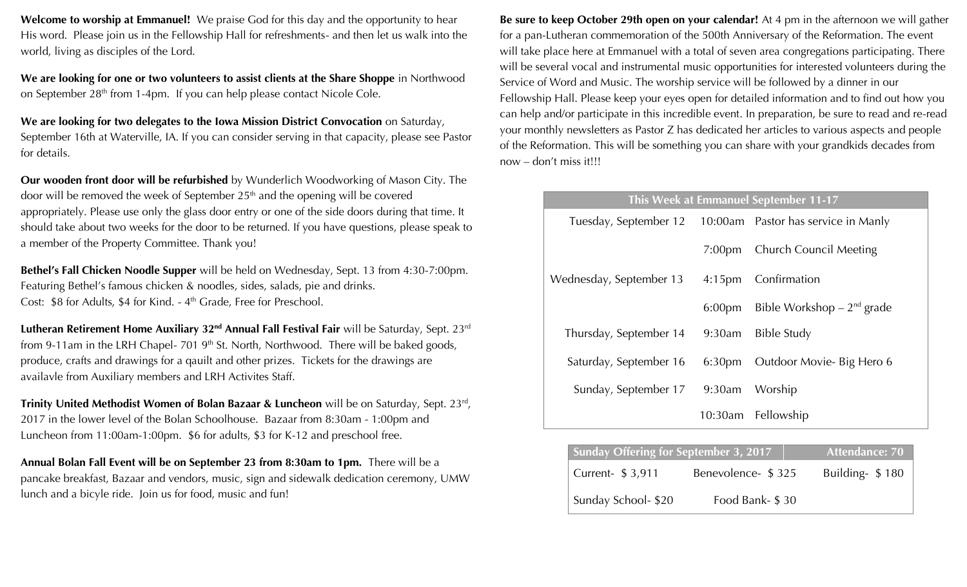**Welcome to worship at Emmanuel!** We praise God for this day and the opportunity to hear His word. Please join us in the Fellowship Hall for refreshments- and then let us walk into the world, living as disciples of the Lord.

**We are looking for one or two volunteers to assist clients at the Share Shoppe** in Northwood on September 28<sup>th</sup> from 1-4pm. If you can help please contact Nicole Cole.

We are looking for two delegates to the Iowa Mission District Convocation on Saturday, September 16th at Waterville, IA. If you can consider serving in that capacity, please see Pastor for details.

**Our wooden front door will be refurbished** by Wunderlich Woodworking of Mason City. The door will be removed the week of September 25<sup>th</sup> and the opening will be covered appropriately. Please use only the glass door entry or one of the side doors during that time. It should take about two weeks for the door to be returned. If you have questions, please speak to a member of the Property Committee. Thank you!

**Bethel's Fall Chicken Noodle Supper** will be held on Wednesday, Sept. 13 from 4:30-7:00pm. Featuring Bethel's famous chicken & noodles, sides, salads, pie and drinks. Cost: \$8 for Adults, \$4 for Kind. - 4<sup>th</sup> Grade, Free for Preschool.

**Lutheran Retirement Home Auxiliary 32nd Annual Fall Festival Fair** will be Saturday, Sept. 23rd from 9-11am in the LRH Chapel- 701  $9<sup>th</sup>$  St. North, Northwood. There will be baked goods, produce, crafts and drawings for a qauilt and other prizes. Tickets for the drawings are availavle from Auxiliary members and LRH Activites Staff.

**Trinity United Methodist Women of Bolan Bazaar & Luncheon** will be on Saturday, Sept. 23<sup>rd</sup>, 2017 in the lower level of the Bolan Schoolhouse. Bazaar from 8:30am - 1:00pm and Luncheon from 11:00am-1:00pm. \$6 for adults, \$3 for K-12 and preschool free.

**Annual Bolan Fall Event will be on September 23 from 8:30am to 1pm.** There will be a pancake breakfast, Bazaar and vendors, music, sign and sidewalk dedication ceremony, UMW lunch and a bicyle ride. Join us for food, music and fun!

**Be sure to keep October 29th open on your calendar!** At 4 pm in the afternoon we will gather for a pan-Lutheran commemoration of the 500th Anniversary of the Reformation. The event will take place here at Emmanuel with a total of seven area congregations participating. There will be several vocal and instrumental music opportunities for interested volunteers during the Service of Word and Music. The worship service will be followed by a dinner in our Fellowship Hall. Please keep your eyes open for detailed information and to find out how you can help and/or participate in this incredible event. In preparation, be sure to read and re-read your monthly newsletters as Pastor Z has dedicated her articles to various aspects and people of the Reformation. This will be something you can share with your grandkids decades from now – don't miss it!!!

| This Week at Emmanuel September 11-17 |                    |                                                           |  |  |  |
|---------------------------------------|--------------------|-----------------------------------------------------------|--|--|--|
|                                       |                    | Tuesday, September 12 10:00am Pastor has service in Manly |  |  |  |
|                                       |                    | 7:00pm Church Council Meeting                             |  |  |  |
| Wednesday, September 13               |                    | 4:15pm Confirmation                                       |  |  |  |
|                                       | 6:00pm             | Bible Workshop $-2^{nd}$ grade                            |  |  |  |
| Thursday, September 14                | 9:30am             | Bible Study                                               |  |  |  |
| Saturday, September 16                | 6:30 <sub>pm</sub> | Outdoor Movie- Big Hero 6                                 |  |  |  |
| Sunday, September 17                  |                    | 9:30am Worship                                            |  |  |  |
|                                       |                    | 10:30am Fellowship                                        |  |  |  |

| <b>Sunday Offering for September 3, 2017</b> | Attendance: 70     |                 |
|----------------------------------------------|--------------------|-----------------|
| Current- \$ 3,911                            | Benevolence- \$325 | Building- \$180 |
| Sunday School- \$20                          | Food Bank- \$30    |                 |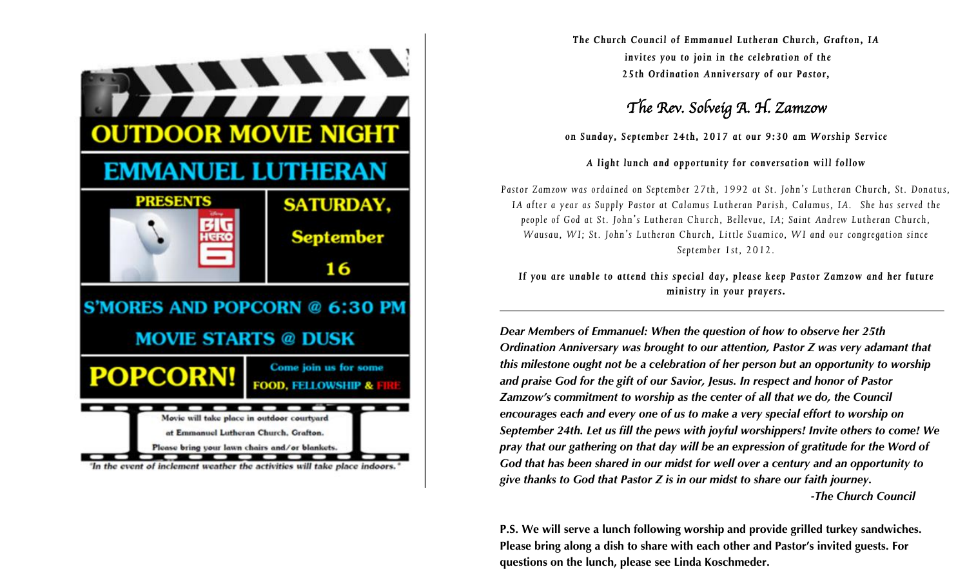

*The Church Council of Emmanuel Lutheran Church, Grafton, IA invites you to join in the celebration of the 25th Ordination Anniversary of our Pastor,*

# *The Rev. Solveig A. H. Zamzow*

*on Sunday, September 24th, 2017 at our 9:30 am Worship Service*

#### *A light lunch and opportunity for conversation will follow*

*Pastor Zamzow was ordained on September 27th, 1992 at St. John's Lutheran Church, St. Donatus, IA after a year as Supply Pastor at Calamus Lutheran Parish, Calamus, IA. She has served the people of God at St. John's Lutheran Church, Bellevue, IA; Saint Andrew Lutheran Church, Wausau, WI; St. John's Lutheran Church, Little Suamico, WI and our congregation since September 1st, 2012.*

*If you are unable to attend this special day, please keep Pastor Zamzow and her future ministry in your prayers.*

*Dear Members of Emmanuel: When the question of how to observe her 25th Ordination Anniversary was brought to our attention, Pastor Z was very adamant that this milestone ought not be a celebration of her person but an opportunity to worship and praise God for the gift of our Savior, Jesus. In respect and honor of Pastor Zamzow's commitment to worship as the center of all that we do, the Council encourages each and every one of us to make a very special effort to worship on September 24th. Let us fill the pews with joyful worshippers! Invite others to come! We pray that our gathering on that day will be an expression of gratitude for the Word of God that has been shared in our midst for well over a century and an opportunity to give thanks to God that Pastor Z is in our midst to share our faith journey. -The Church Council*

**P.S. We will serve a lunch following worship and provide grilled turkey sandwiches. Please bring along a dish to share with each other and Pastor's invited guests. For questions on the lunch, please see Linda Koschmeder.**